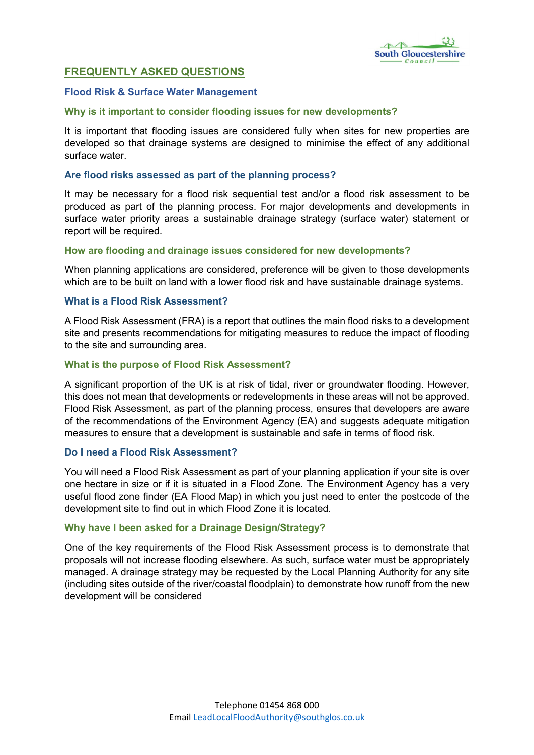

# FREQUENTLY ASKED QUESTIONS

#### Flood Risk & Surface Water Management

#### Why is it important to consider flooding issues for new developments?

It is important that flooding issues are considered fully when sites for new properties are developed so that drainage systems are designed to minimise the effect of any additional surface water.

#### Are flood risks assessed as part of the planning process?

It may be necessary for a flood risk sequential test and/or a flood risk assessment to be produced as part of the planning process. For major developments and developments in surface water priority areas a sustainable drainage strategy (surface water) statement or report will be required.

### How are flooding and drainage issues considered for new developments?

When planning applications are considered, preference will be given to those developments which are to be built on land with a lower flood risk and have sustainable drainage systems.

### What is a Flood Risk Assessment?

A Flood Risk Assessment (FRA) is a report that outlines the main flood risks to a development site and presents recommendations for mitigating measures to reduce the impact of flooding to the site and surrounding area.

### What is the purpose of Flood Risk Assessment?

A significant proportion of the UK is at risk of tidal, river or groundwater flooding. However, this does not mean that developments or redevelopments in these areas will not be approved. Flood Risk Assessment, as part of the planning process, ensures that developers are aware of the recommendations of the Environment Agency (EA) and suggests adequate mitigation measures to ensure that a development is sustainable and safe in terms of flood risk.

#### Do I need a Flood Risk Assessment?

You will need a Flood Risk Assessment as part of your planning application if your site is over one hectare in size or if it is situated in a Flood Zone. The Environment Agency has a very useful flood zone finder (EA Flood Map) in which you just need to enter the postcode of the development site to find out in which Flood Zone it is located.

#### Why have I been asked for a Drainage Design/Strategy?

One of the key requirements of the Flood Risk Assessment process is to demonstrate that proposals will not increase flooding elsewhere. As such, surface water must be appropriately managed. A drainage strategy may be requested by the Local Planning Authority for any site (including sites outside of the river/coastal floodplain) to demonstrate how runoff from the new development will be considered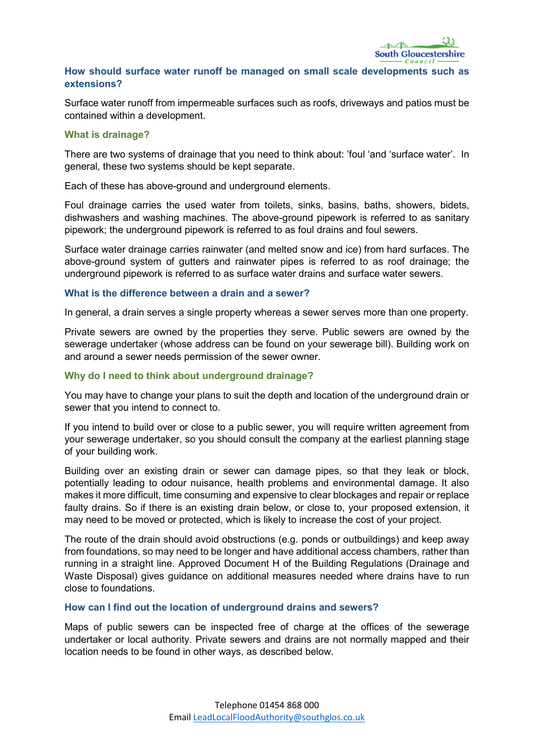### How should surface water runoff be managed on small scale developments such as extensions?

Surface water runoff from impermeable surfaces such as roofs, driveways and patios must be contained within a development.

#### What is drainage?

There are two systems of drainage that you need to think about: 'foul 'and 'surface water'. In general, these two systems should be kept separate.

Each of these has above-ground and underground elements.

Foul drainage carries the used water from toilets, sinks, basins, baths, showers, bidets, dishwashers and washing machines. The above-ground pipework is referred to as sanitary pipework; the underground pipework is referred to as foul drains and foul sewers.

Surface water drainage carries rainwater (and melted snow and ice) from hard surfaces. The above-ground system of gutters and rainwater pipes is referred to as roof drainage; the underground pipework is referred to as surface water drains and surface water sewers.

### What is the difference between a drain and a sewer?

In general, a drain serves a single property whereas a sewer serves more than one property.

Private sewers are owned by the properties they serve. Public sewers are owned by the sewerage undertaker (whose address can be found on your sewerage bill). Building work on and around a sewer needs permission of the sewer owner.

### Why do I need to think about underground drainage?

You may have to change your plans to suit the depth and location of the underground drain or sewer that you intend to connect to.

If you intend to build over or close to a public sewer, you will require written agreement from your sewerage undertaker, so you should consult the company at the earliest planning stage of your building work.

Building over an existing drain or sewer can damage pipes, so that they leak or block, potentially leading to odour nuisance, health problems and environmental damage. It also makes it more difficult, time consuming and expensive to clear blockages and repair or replace faulty drains. So if there is an existing drain below, or close to, your proposed extension, it may need to be moved or protected, which is likely to increase the cost of your project.

The route of the drain should avoid obstructions (e.g. ponds or outbuildings) and keep away from foundations, so may need to be longer and have additional access chambers, rather than running in a straight line. Approved Document H of the Building Regulations (Drainage and Waste Disposal) gives guidance on additional measures needed where drains have to run close to foundations.

#### How can I find out the location of underground drains and sewers?

Maps of public sewers can be inspected free of charge at the offices of the sewerage undertaker or local authority. Private sewers and drains are not normally mapped and their location needs to be found in other ways, as described below.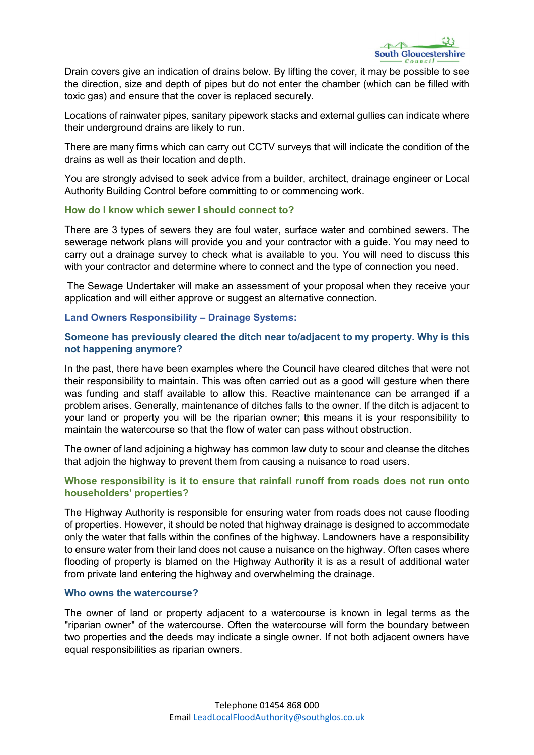Drain covers give an indication of drains below. By lifting the cover, it may be possible to see the direction, size and depth of pipes but do not enter the chamber (which can be filled with toxic gas) and ensure that the cover is replaced securely.

Locations of rainwater pipes, sanitary pipework stacks and external gullies can indicate where their underground drains are likely to run.

There are many firms which can carry out CCTV surveys that will indicate the condition of the drains as well as their location and depth.

You are strongly advised to seek advice from a builder, architect, drainage engineer or Local Authority Building Control before committing to or commencing work.

### How do I know which sewer I should connect to?

There are 3 types of sewers they are foul water, surface water and combined sewers. The sewerage network plans will provide you and your contractor with a guide. You may need to carry out a drainage survey to check what is available to you. You will need to discuss this with your contractor and determine where to connect and the type of connection you need.

The Sewage Undertaker will make an assessment of your proposal when they receive your application and will either approve or suggest an alternative connection.

### Land Owners Responsibility – Drainage Systems:

## Someone has previously cleared the ditch near to/adjacent to my property. Why is this not happening anymore?

In the past, there have been examples where the Council have cleared ditches that were not their responsibility to maintain. This was often carried out as a good will gesture when there was funding and staff available to allow this. Reactive maintenance can be arranged if a problem arises. Generally, maintenance of ditches falls to the owner. If the ditch is adjacent to your land or property you will be the riparian owner; this means it is your responsibility to maintain the watercourse so that the flow of water can pass without obstruction.

The owner of land adjoining a highway has common law duty to scour and cleanse the ditches that adjoin the highway to prevent them from causing a nuisance to road users.

## Whose responsibility is it to ensure that rainfall runoff from roads does not run onto householders' properties?

The Highway Authority is responsible for ensuring water from roads does not cause flooding of properties. However, it should be noted that highway drainage is designed to accommodate only the water that falls within the confines of the highway. Landowners have a responsibility to ensure water from their land does not cause a nuisance on the highway. Often cases where flooding of property is blamed on the Highway Authority it is as a result of additional water from private land entering the highway and overwhelming the drainage.

## Who owns the watercourse?

The owner of land or property adjacent to a watercourse is known in legal terms as the "riparian owner" of the watercourse. Often the watercourse will form the boundary between two properties and the deeds may indicate a single owner. If not both adjacent owners have equal responsibilities as riparian owners.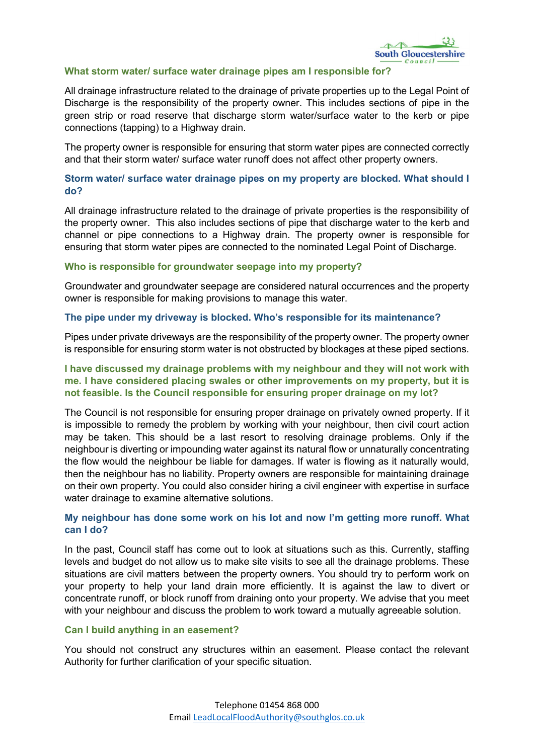### What storm water/ surface water drainage pipes am I responsible for?

All drainage infrastructure related to the drainage of private properties up to the Legal Point of Discharge is the responsibility of the property owner. This includes sections of pipe in the green strip or road reserve that discharge storm water/surface water to the kerb or pipe connections (tapping) to a Highway drain.

The property owner is responsible for ensuring that storm water pipes are connected correctly and that their storm water/ surface water runoff does not affect other property owners.

## Storm water/ surface water drainage pipes on my property are blocked. What should I do?

All drainage infrastructure related to the drainage of private properties is the responsibility of the property owner. This also includes sections of pipe that discharge water to the kerb and channel or pipe connections to a Highway drain. The property owner is responsible for ensuring that storm water pipes are connected to the nominated Legal Point of Discharge.

### Who is responsible for groundwater seepage into my property?

Groundwater and groundwater seepage are considered natural occurrences and the property owner is responsible for making provisions to manage this water.

### The pipe under my driveway is blocked. Who's responsible for its maintenance?

Pipes under private driveways are the responsibility of the property owner. The property owner is responsible for ensuring storm water is not obstructed by blockages at these piped sections.

## I have discussed my drainage problems with my neighbour and they will not work with me. I have considered placing swales or other improvements on my property, but it is not feasible. Is the Council responsible for ensuring proper drainage on my lot?

The Council is not responsible for ensuring proper drainage on privately owned property. If it is impossible to remedy the problem by working with your neighbour, then civil court action may be taken. This should be a last resort to resolving drainage problems. Only if the neighbour is diverting or impounding water against its natural flow or unnaturally concentrating the flow would the neighbour be liable for damages. If water is flowing as it naturally would, then the neighbour has no liability. Property owners are responsible for maintaining drainage on their own property. You could also consider hiring a civil engineer with expertise in surface water drainage to examine alternative solutions.

## My neighbour has done some work on his lot and now I'm getting more runoff. What can I do?

In the past, Council staff has come out to look at situations such as this. Currently, staffing levels and budget do not allow us to make site visits to see all the drainage problems. These situations are civil matters between the property owners. You should try to perform work on your property to help your land drain more efficiently. It is against the law to divert or concentrate runoff, or block runoff from draining onto your property. We advise that you meet with your neighbour and discuss the problem to work toward a mutually agreeable solution.

#### Can I build anything in an easement?

You should not construct any structures within an easement. Please contact the relevant Authority for further clarification of your specific situation.